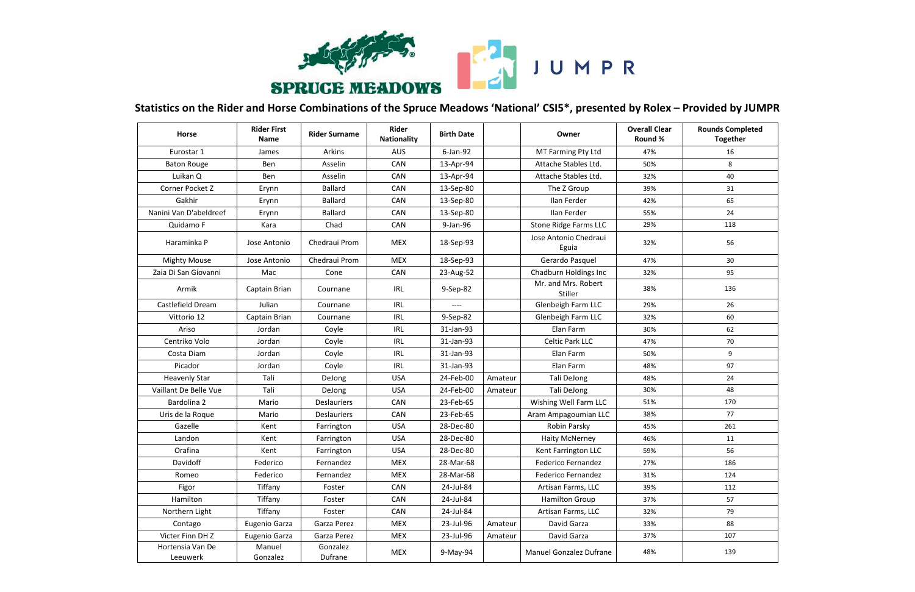

## **Statistics on the Rider and Horse Combinations of the Spruce Meadows 'National' CSI5\*, presented by Rolex – Provided by JUMPR**

JUMPR

| <b>Horse</b>                 | <b>Rider First</b><br>Name | <b>Rider Surname</b> | Rider<br><b>Nationality</b> | <b>Birth Date</b> |         | Owner                          | <b>Overall Clear</b><br>Round % | <b>Rounds Completed</b><br><b>Together</b> |
|------------------------------|----------------------------|----------------------|-----------------------------|-------------------|---------|--------------------------------|---------------------------------|--------------------------------------------|
| Eurostar 1                   | James                      | Arkins               | <b>AUS</b>                  | 6-Jan-92          |         | MT Farming Pty Ltd             | 47%                             | 16                                         |
| <b>Baton Rouge</b>           | Ben                        | Asselin              | CAN                         | 13-Apr-94         |         | Attache Stables Ltd.           | 50%                             | 8                                          |
| Luikan Q                     | Ben                        | Asselin              | CAN                         | 13-Apr-94         |         | Attache Stables Ltd.           | 32%                             | 40                                         |
| Corner Pocket Z              | Erynn                      | <b>Ballard</b>       | CAN                         | 13-Sep-80         |         | The Z Group                    | 39%                             | 31                                         |
| Gakhir                       | Erynn                      | <b>Ballard</b>       | CAN                         | 13-Sep-80         |         | Ilan Ferder                    | 42%                             | 65                                         |
| Nanini Van D'abeldreef       | Erynn                      | <b>Ballard</b>       | CAN                         | 13-Sep-80         |         | Ilan Ferder                    | 55%                             | 24                                         |
| Quidamo F                    | Kara                       | Chad                 | CAN                         | 9-Jan-96          |         | <b>Stone Ridge Farms LLC</b>   | 29%                             | 118                                        |
| Haraminka P                  | Jose Antonio               | Chedraui Prom        | <b>MEX</b>                  | 18-Sep-93         |         | Jose Antonio Chedraui<br>Eguia | 32%                             | 56                                         |
| <b>Mighty Mouse</b>          | Jose Antonio               | Chedraui Prom        | <b>MEX</b>                  | 18-Sep-93         |         | Gerardo Pasquel                | 47%                             | 30 <sup>°</sup>                            |
| Zaia Di San Giovanni         | Mac                        | Cone                 | CAN                         | 23-Aug-52         |         | Chadburn Holdings Inc          | 32%                             | 95                                         |
| Armik                        | Captain Brian              | Cournane             | IRL                         | 9-Sep-82          |         | Mr. and Mrs. Robert<br>Stiller | 38%                             | 136                                        |
| Castlefield Dream            | Julian                     | Cournane             | <b>IRL</b>                  | ----              |         | Glenbeigh Farm LLC             | 29%                             | 26                                         |
| Vittorio 12                  | Captain Brian              | Cournane             | <b>IRL</b>                  | 9-Sep-82          |         | Glenbeigh Farm LLC             | 32%                             | 60                                         |
| Ariso                        | Jordan                     | Coyle                | <b>IRL</b>                  | 31-Jan-93         |         | Elan Farm                      | 30%                             | 62                                         |
| Centriko Volo                | Jordan                     | Coyle                | <b>IRL</b>                  | 31-Jan-93         |         | <b>Celtic Park LLC</b>         | 47%                             | 70                                         |
| Costa Diam                   | Jordan                     | Coyle                | <b>IRL</b>                  | 31-Jan-93         |         | Elan Farm                      | 50%                             | 9                                          |
| Picador                      | Jordan                     | Coyle                | <b>IRL</b>                  | 31-Jan-93         |         | Elan Farm                      | 48%                             | 97                                         |
| <b>Heavenly Star</b>         | Tali                       | DeJong               | <b>USA</b>                  | 24-Feb-00         | Amateur | Tali DeJong                    | 48%                             | 24                                         |
| Vaillant De Belle Vue        | Tali                       | DeJong               | <b>USA</b>                  | 24-Feb-00         | Amateur | Tali DeJong                    | 30%                             | 48                                         |
| Bardolina 2                  | Mario                      | <b>Deslauriers</b>   | CAN                         | 23-Feb-65         |         | Wishing Well Farm LLC          | 51%                             | 170                                        |
| Uris de la Roque             | Mario                      | <b>Deslauriers</b>   | CAN                         | 23-Feb-65         |         | Aram Ampagoumian LLC           | 38%                             | 77                                         |
| Gazelle                      | Kent                       | Farrington           | <b>USA</b>                  | 28-Dec-80         |         | Robin Parsky                   | 45%                             | 261                                        |
| Landon                       | Kent                       | Farrington           | <b>USA</b>                  | 28-Dec-80         |         | <b>Haity McNerney</b>          | 46%                             | 11                                         |
| Orafina                      | Kent                       | Farrington           | <b>USA</b>                  | 28-Dec-80         |         | Kent Farrington LLC            | 59%                             | 56                                         |
| Davidoff                     | Federico                   | Fernandez            | <b>MEX</b>                  | 28-Mar-68         |         | <b>Federico Fernandez</b>      | 27%                             | 186                                        |
| Romeo                        | Federico                   | Fernandez            | <b>MEX</b>                  | 28-Mar-68         |         | <b>Federico Fernandez</b>      | 31%                             | 124                                        |
| Figor                        | Tiffany                    | Foster               | CAN                         | 24-Jul-84         |         | Artisan Farms, LLC             | 39%                             | 112                                        |
| Hamilton                     | Tiffany                    | Foster               | CAN                         | 24-Jul-84         |         | <b>Hamilton Group</b>          | 37%                             | 57                                         |
| Northern Light               | Tiffany                    | Foster               | CAN                         | 24-Jul-84         |         | Artisan Farms, LLC             | 32%                             | 79                                         |
| Contago                      | Eugenio Garza              | Garza Perez          | <b>MEX</b>                  | 23-Jul-96         | Amateur | David Garza                    | 33%                             | 88                                         |
| Victer Finn DH Z             | Eugenio Garza              | Garza Perez          | <b>MEX</b>                  | 23-Jul-96         | Amateur | David Garza                    | 37%                             | 107                                        |
| Hortensia Van De<br>Leeuwerk | Manuel<br>Gonzalez         | Gonzalez<br>Dufrane  | MEX                         | 9-May-94          |         | Manuel Gonzalez Dufrane        | 48%                             | 139                                        |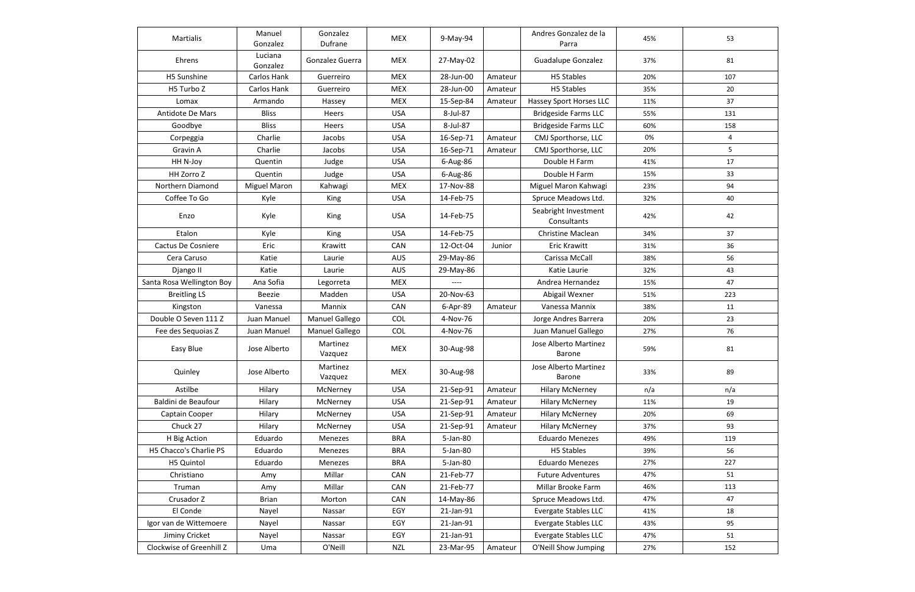| Martialis                 | Manuel<br>Gonzalez  | Gonzalez<br>Dufrane | <b>MEX</b> | 9-May-94  |         | Andres Gonzalez de la<br>Parra         | 45% | 53  |
|---------------------------|---------------------|---------------------|------------|-----------|---------|----------------------------------------|-----|-----|
| Ehrens                    | Luciana<br>Gonzalez | Gonzalez Guerra     | <b>MEX</b> | 27-May-02 |         | <b>Guadalupe Gonzalez</b>              | 37% | 81  |
| H5 Sunshine               | Carlos Hank         | Guerreiro           | <b>MEX</b> | 28-Jun-00 | Amateur | <b>H5 Stables</b>                      | 20% | 107 |
| H5 Turbo Z                | Carlos Hank         | Guerreiro           | <b>MEX</b> | 28-Jun-00 | Amateur | <b>H5 Stables</b>                      | 35% | 20  |
| Lomax                     | Armando             | Hassey              | <b>MEX</b> | 15-Sep-84 | Amateur | Hassey Sport Horses LLC                | 11% | 37  |
| Antidote De Mars          | <b>Bliss</b>        | <b>Heers</b>        | <b>USA</b> | 8-Jul-87  |         | <b>Bridgeside Farms LLC</b>            | 55% | 131 |
| Goodbye                   | <b>Bliss</b>        | Heers               | <b>USA</b> | 8-Jul-87  |         | <b>Bridgeside Farms LLC</b>            | 60% | 158 |
| Corpeggia                 | Charlie             | Jacobs              | <b>USA</b> | 16-Sep-71 | Amateur | CMJ Sporthorse, LLC                    | 0%  | 4   |
| Gravin A                  | Charlie             | Jacobs              | <b>USA</b> | 16-Sep-71 | Amateur | CMJ Sporthorse, LLC                    | 20% | 5   |
| HH N-Joy                  | Quentin             | Judge               | <b>USA</b> | 6-Aug-86  |         | Double H Farm                          | 41% | 17  |
| HH Zorro Z                | Quentin             | Judge               | <b>USA</b> | 6-Aug-86  |         | Double H Farm                          | 15% | 33  |
| Northern Diamond          | <b>Miguel Maron</b> | Kahwagi             | <b>MEX</b> | 17-Nov-88 |         | Miguel Maron Kahwagi                   | 23% | 94  |
| Coffee To Go              | Kyle                | King                | <b>USA</b> | 14-Feb-75 |         | Spruce Meadows Ltd.                    | 32% | 40  |
| Enzo                      | Kyle                | King                | <b>USA</b> | 14-Feb-75 |         | Seabright Investment<br>Consultants    | 42% | 42  |
| Etalon                    | Kyle                | King                | <b>USA</b> | 14-Feb-75 |         | <b>Christine Maclean</b>               | 34% | 37  |
| <b>Cactus De Cosniere</b> | Eric                | Krawitt             | CAN        | 12-Oct-04 | Junior  | <b>Eric Krawitt</b>                    | 31% | 36  |
| Cera Caruso               | Katie               | Laurie              | <b>AUS</b> | 29-May-86 |         | Carissa McCall                         | 38% | 56  |
| Django II                 | Katie               | Laurie              | <b>AUS</b> | 29-May-86 |         | Katie Laurie                           | 32% | 43  |
| Santa Rosa Wellington Boy | Ana Sofia           | Legorreta           | <b>MEX</b> | ----      |         | Andrea Hernandez                       | 15% | 47  |
| <b>Breitling LS</b>       | Beezie              | Madden              | <b>USA</b> | 20-Nov-63 |         | Abigail Wexner                         | 51% | 223 |
| Kingston                  | Vanessa             | Mannix              | CAN        | 6-Apr-89  | Amateur | Vanessa Mannix                         | 38% | 11  |
| Double O Seven 111 Z      | Juan Manuel         | Manuel Gallego      | <b>COL</b> | 4-Nov-76  |         | Jorge Andres Barrera                   | 20% | 23  |
| Fee des Sequoias Z        | Juan Manuel         | Manuel Gallego      | COL        | 4-Nov-76  |         | Juan Manuel Gallego                    | 27% | 76  |
| Easy Blue                 | Jose Alberto        | Martinez<br>Vazquez | <b>MEX</b> | 30-Aug-98 |         | Jose Alberto Martinez<br><b>Barone</b> | 59% | 81  |
| Quinley                   | Jose Alberto        | Martinez<br>Vazquez | <b>MEX</b> | 30-Aug-98 |         | Jose Alberto Martinez<br>Barone        | 33% | 89  |
| Astilbe                   | Hilary              | McNerney            | <b>USA</b> | 21-Sep-91 | Amateur | <b>Hilary McNerney</b>                 | n/a | n/a |
| Baldini de Beaufour       | Hilary              | McNerney            | <b>USA</b> | 21-Sep-91 | Amateur | <b>Hilary McNerney</b>                 | 11% | 19  |
| Captain Cooper            | Hilary              | McNerney            | <b>USA</b> | 21-Sep-91 | Amateur | <b>Hilary McNerney</b>                 | 20% | 69  |
| Chuck 27                  | Hilary              | McNerney            | <b>USA</b> | 21-Sep-91 | Amateur | <b>Hilary McNerney</b>                 | 37% | 93  |
| H Big Action              | Eduardo             | Menezes             | <b>BRA</b> | 5-Jan-80  |         | <b>Eduardo Menezes</b>                 | 49% | 119 |
| H5 Chacco's Charlie PS    | Eduardo             | Menezes             | <b>BRA</b> | 5-Jan-80  |         | H5 Stables                             | 39% | 56  |
| H5 Quintol                | Eduardo             | Menezes             | <b>BRA</b> | 5-Jan-80  |         | <b>Eduardo Menezes</b>                 | 27% | 227 |
| Christiano                | Amy                 | Millar              | CAN        | 21-Feb-77 |         | <b>Future Adventures</b>               | 47% | 51  |
| Truman                    | Amy                 | Millar              | CAN        | 21-Feb-77 |         | Millar Brooke Farm                     | 46% | 113 |
| Crusador Z                | Brian               | Morton              | CAN        | 14-May-86 |         | Spruce Meadows Ltd.                    | 47% | 47  |
| El Conde                  | Nayel               | Nassar              | EGY        | 21-Jan-91 |         | Evergate Stables LLC                   | 41% | 18  |
| Igor van de Wittemoere    | Nayel               | Nassar              | EGY        | 21-Jan-91 |         | <b>Evergate Stables LLC</b>            | 43% | 95  |
| Jiminy Cricket            | Nayel               | Nassar              | EGY        | 21-Jan-91 |         | Evergate Stables LLC                   | 47% | 51  |
| Clockwise of Greenhill Z  | Uma                 | O'Neill             | NZL        | 23-Mar-95 | Amateur | O'Neill Show Jumping                   | 27% | 152 |